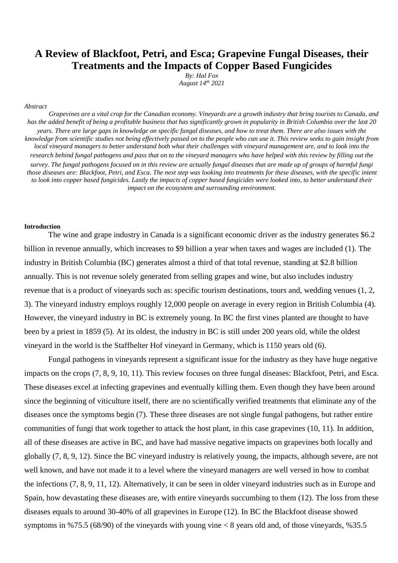# **A Review of Blackfoot, Petri, and Esca; Grapevine Fungal Diseases, their Treatments and the Impacts of Copper Based Fungicides**

*By: Hal Fox August 14th 2021*

#### *Abstract*

*Grapevines are a vital crop for the Canadian economy. Vineyards are a growth industry that bring tourists to Canada, and has the added benefit of being a profitable business that has significantly grown in popularity in British Columbia over the last 20 years. There are large gaps in knowledge on specific fungal diseases, and how to treat them. There are also issues with the knowledge from scientific studies not being effectively passed on to the people who can use it. This review seeks to gain insight from local vineyard managers to better understand both what their challenges with vineyard management are, and to look into the research behind fungal pathogens and pass that on to the vineyard managers who have helped with this review by filling out the survey. The fungal pathogens focused on in this review are actually fungal diseases that are made up of groups of harmful fungi those diseases are: Blackfoot, Petri, and Esca. The next step was looking into treatments for these diseases, with the specific intent to look into copper based fungicides. Lastly the impacts of copper based fungicides were looked into, to better understand their impact on the ecosystem and surrounding environment.*

#### **Introduction**

The wine and grape industry in Canada is a significant economic driver as the industry generates \$6.2 billion in revenue annually, which increases to \$9 billion a year when taxes and wages are included (1). The industry in British Columbia (BC) generates almost a third of that total revenue, standing at \$2.8 billion annually. This is not revenue solely generated from selling grapes and wine, but also includes industry revenue that is a product of vineyards such as: specific tourism destinations, tours and, wedding venues (1, 2, 3). The vineyard industry employs roughly 12,000 people on average in every region in British Columbia (4). However, the vineyard industry in BC is extremely young. In BC the first vines planted are thought to have been by a priest in 1859 (5). At its oldest, the industry in BC is still under 200 years old, while the oldest vineyard in the world is the Staffhelter Hof vineyard in Germany, which is 1150 years old (6).

Fungal pathogens in vineyards represent a significant issue for the industry as they have huge negative impacts on the crops (7, 8, 9, 10, 11). This review focuses on three fungal diseases: Blackfoot, Petri, and Esca. These diseases excel at infecting grapevines and eventually killing them. Even though they have been around since the beginning of viticulture itself, there are no scientifically verified treatments that eliminate any of the diseases once the symptoms begin (7). These three diseases are not single fungal pathogens, but rather entire communities of fungi that work together to attack the host plant, in this case grapevines (10, 11). In addition, all of these diseases are active in BC, and have had massive negative impacts on grapevines both locally and globally (7, 8, 9, 12). Since the BC vineyard industry is relatively young, the impacts, although severe, are not well known, and have not made it to a level where the vineyard managers are well versed in how to combat the infections (7, 8, 9, 11, 12). Alternatively, it can be seen in older vineyard industries such as in Europe and Spain, how devastating these diseases are, with entire vineyards succumbing to them (12). The loss from these diseases equals to around 30-40% of all grapevines in Europe (12). In BC the Blackfoot disease showed symptoms in %75.5 (68/90) of the vineyards with young vine  $< 8$  years old and, of those vineyards, %35.5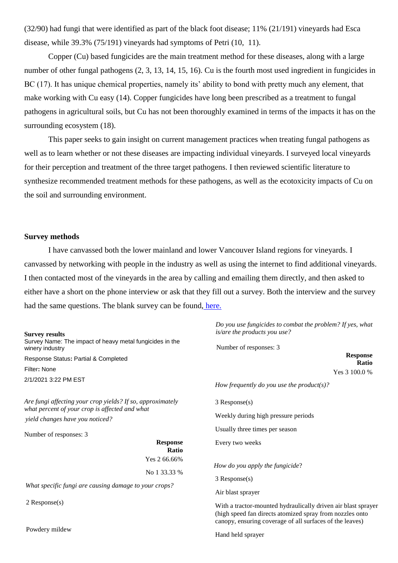(32/90) had fungi that were identified as part of the black foot disease; 11% (21/191) vineyards had Esca disease, while 39.3% (75/191) vineyards had symptoms of Petri (10, 11).

Copper (Cu) based fungicides are the main treatment method for these diseases, along with a large number of other fungal pathogens (2, 3, 13, 14, 15, 16). Cu is the fourth most used ingredient in fungicides in BC (17). It has unique chemical properties, namely its' ability to bond with pretty much any element, that make working with Cu easy (14). Copper fungicides have long been prescribed as a treatment to fungal pathogens in agricultural soils, but Cu has not been thoroughly examined in terms of the impacts it has on the surrounding ecosystem (18).

This paper seeks to gain insight on current management practices when treating fungal pathogens as well as to learn whether or not these diseases are impacting individual vineyards. I surveyed local vineyards for their perception and treatment of the three target pathogens. I then reviewed scientific literature to synthesize recommended treatment methods for these pathogens, as well as the ecotoxicity impacts of Cu on the soil and surrounding environment.

#### **Survey methods**

I have canvassed both the lower mainland and lower Vancouver Island regions for vineyards. I canvassed by networking with people in the industry as well as using the internet to find additional vineyards. I then contacted most of the vineyards in the area by calling and emailing them directly, and then asked to either have a short on the phone interview or ask that they fill out a survey. Both the interview and the survey had the same questions. The blank survey can be found, [here.](http://survey.constantcontact.com/survey/a07ehc0p3vekfpryngc/a001kgvy7yob/questions)

| <b>Survey results</b><br>Survey Name: The impact of heavy metal fungicides in the<br>winery industry         | Do you use fungicides to combat the problem? If yes, what<br>is/are the products you use?<br>Number of responses: 3                                                                   |  |  |
|--------------------------------------------------------------------------------------------------------------|---------------------------------------------------------------------------------------------------------------------------------------------------------------------------------------|--|--|
| Response Status: Partial & Completed                                                                         | <b>Response</b><br>Ratio                                                                                                                                                              |  |  |
| Filter: None                                                                                                 | Yes 3 100.0 %                                                                                                                                                                         |  |  |
| 2/1/2021 3:22 PM EST                                                                                         | How frequently do you use the product(s)?                                                                                                                                             |  |  |
| Are fungi affecting your crop yields? If so, approximately<br>what percent of your crop is affected and what | $3$ Response $(s)$                                                                                                                                                                    |  |  |
| yield changes have you noticed?                                                                              | Weekly during high pressure periods                                                                                                                                                   |  |  |
| Number of responses: 3                                                                                       | Usually three times per season                                                                                                                                                        |  |  |
| <b>Response</b><br>Ratio                                                                                     | Every two weeks                                                                                                                                                                       |  |  |
| Yes 2 66.66%                                                                                                 | How do you apply the fungicide?                                                                                                                                                       |  |  |
| No 1 33.33 %                                                                                                 | $3$ Response $(s)$                                                                                                                                                                    |  |  |
| What specific fungi are causing damage to your crops?                                                        | Air blast sprayer                                                                                                                                                                     |  |  |
| $2$ Response $(s)$                                                                                           | With a tractor-mounted hydraulically driven air blast sprayer<br>(high speed fan directs atomized spray from nozzles onto<br>canopy, ensuring coverage of all surfaces of the leaves) |  |  |
| Powdery mildew                                                                                               | Hand held sprayer                                                                                                                                                                     |  |  |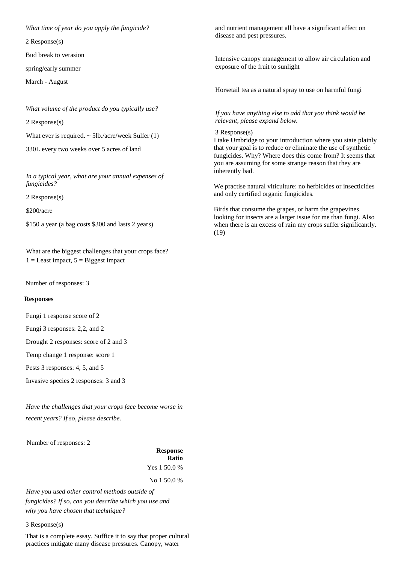*What time of year do you apply the fungicide?* 

2 Response(s)

Bud break to verasion

spring/early summer

March - August

*What volume of the product do you typically use?* 

2 Response(s)

What ever is required.  $\sim$  5lb./acre/week Sulfer (1)

330L every two weeks over 5 acres of land

*In a typical year, what are your annual expenses of fungicides?* 

2 Response(s)

\$200/acre

\$150 a year (a bag costs \$300 and lasts 2 years)

What are the biggest challenges that your crops face?  $1 =$  Least impact,  $5 =$  Biggest impact

Number of responses: 3

#### **Responses**

Fungi 1 response score of 2

Fungi 3 responses: 2,2, and 2

Drought 2 responses: score of 2 and 3

Temp change 1 response: score 1

Pests 3 responses: 4, 5, and 5

Invasive species 2 responses: 3 and 3

*Have the challenges that your crops face become worse in recent years? If so, please describe.* 

Number of responses: 2

**Response Ratio**  Yes 1 50.0 %

No 1 50.0 %

*Have you used other control methods outside of fungicides? If so, can you describe which you use and why you have chosen that technique?* 

3 Response(s)

That is a complete essay. Suffice it to say that proper cultural practices mitigate many disease pressures. Canopy, water

and nutrient management all have a significant affect on disease and pest pressures.

Intensive canopy management to allow air circulation and exposure of the fruit to sunlight

Horsetail tea as a natural spray to use on harmful fungi

*If you have anything else to add that you think would be relevant, please expand below.*

3 Response(s)

I take Umbridge to your introduction where you state plainly that your goal is to reduce or eliminate the use of synthetic fungicides. Why? Where does this come from? It seems that you are assuming for some strange reason that they are inherently bad.

We practise natural viticulture: no herbicides or insecticides and only certified organic fungicides.

Birds that consume the grapes, or harm the grapevines looking for insects are a larger issue for me than fungi. Also when there is an excess of rain my crops suffer significantly. (19)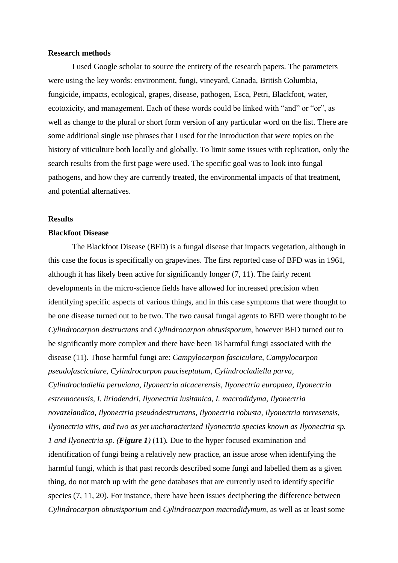#### **Research methods**

I used Google scholar to source the entirety of the research papers. The parameters were using the key words: environment, fungi, vineyard, Canada, British Columbia, fungicide, impacts, ecological, grapes, disease, pathogen, Esca, Petri, Blackfoot, water, ecotoxicity, and management. Each of these words could be linked with "and" or "or", as well as change to the plural or short form version of any particular word on the list. There are some additional single use phrases that I used for the introduction that were topics on the history of viticulture both locally and globally. To limit some issues with replication, only the search results from the first page were used. The specific goal was to look into fungal pathogens, and how they are currently treated, the environmental impacts of that treatment, and potential alternatives.

#### **Results**

### **Blackfoot Disease**

The Blackfoot Disease (BFD) is a fungal disease that impacts vegetation, although in this case the focus is specifically on grapevines. The first reported case of BFD was in 1961, although it has likely been active for significantly longer (7, 11). The fairly recent developments in the micro-science fields have allowed for increased precision when identifying specific aspects of various things, and in this case symptoms that were thought to be one disease turned out to be two. The two causal fungal agents to BFD were thought to be *Cylindrocarpon destructans* and *Cylindrocarpon obtusisporum*, however BFD turned out to be significantly more complex and there have been 18 harmful fungi associated with the disease (11). Those harmful fungi are: *Campylocarpon fasciculare, Campylocarpon pseudofasciculare, Cylindrocarpon pauciseptatum, Cylindrocladiella parva, Cylindrocladiella peruviana, Ilyonectria alcacerensis, Ilyonectria europaea, Ilyonectria estremocensis, I. liriodendri, Ilyonectria lusitanica, I. macrodidyma, Ilyonectria novazelandica, Ilyonectria pseudodestructans, Ilyonectria robusta, Ilyonectria torresensis, Ilyonectria vitis, and two as yet uncharacterized Ilyonectria species known as Ilyonectria sp. 1 and Ilyonectria sp. (Figure 1)* (11)*.* Due to the hyper focused examination and identification of fungi being a relatively new practice, an issue arose when identifying the harmful fungi, which is that past records described some fungi and labelled them as a given thing, do not match up with the gene databases that are currently used to identify specific species  $(7, 11, 20)$ . For instance, there have been issues deciphering the difference between *Cylindrocarpon obtusisporium* and *Cylindrocarpon macrodidymum*, as well as at least some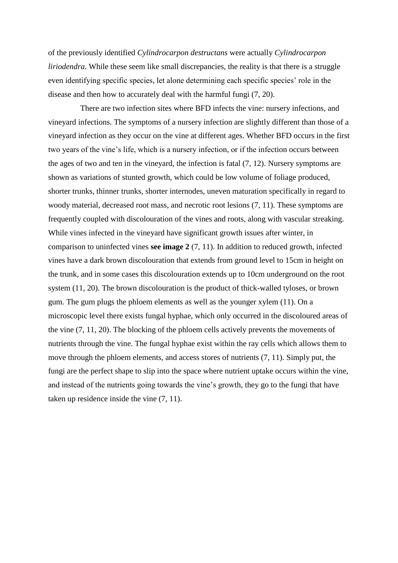of the previously identified *Cylindrocarpon destructans* were actually *Cylindrocarpon liriodendra*. While these seem like small discrepancies, the reality is that there is a struggle even identifying specific species, let alone determining each specific species' role in the disease and then how to accurately deal with the harmful fungi (7, 20).

 There are two infection sites where BFD infects the vine: nursery infections, and vineyard infections. The symptoms of a nursery infection are slightly different than those of a vineyard infection as they occur on the vine at different ages. Whether BFD occurs in the first two years of the vine's life, which is a nursery infection, or if the infection occurs between the ages of two and ten in the vineyard, the infection is fatal (7, 12). Nursery symptoms are shown as variations of stunted growth, which could be low volume of foliage produced, shorter trunks, thinner trunks, shorter internodes, uneven maturation specifically in regard to woody material, decreased root mass, and necrotic root lesions (7, 11). These symptoms are frequently coupled with discolouration of the vines and roots, along with vascular streaking. While vines infected in the vineyard have significant growth issues after winter, in comparison to uninfected vines **see image 2** (7, 11). In addition to reduced growth, infected vines have a dark brown discolouration that extends from ground level to 15cm in height on the trunk, and in some cases this discolouration extends up to 10cm underground on the root system (11, 20). The brown discolouration is the product of thick-walled tyloses, or brown gum. The gum plugs the phloem elements as well as the younger xylem (11). On a microscopic level there exists fungal hyphae, which only occurred in the discoloured areas of the vine (7, 11, 20). The blocking of the phloem cells actively prevents the movements of nutrients through the vine. The fungal hyphae exist within the ray cells which allows them to move through the phloem elements, and access stores of nutrients (7, 11). Simply put, the fungi are the perfect shape to slip into the space where nutrient uptake occurs within the vine, and instead of the nutrients going towards the vine's growth, they go to the fungi that have taken up residence inside the vine (7, 11).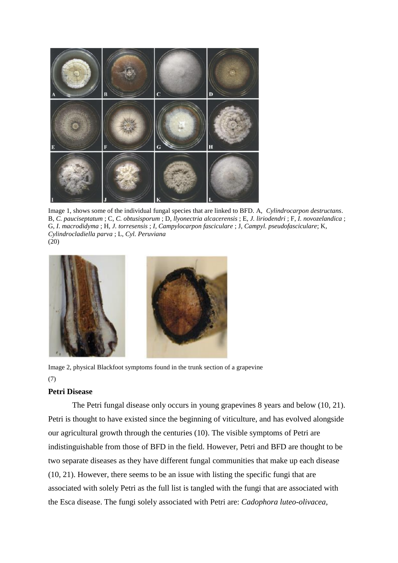

Image 1, shows some of the individual fungal species that are linked to BFD. A, *Cylindrocarpon destructans*. B, *C. pauciseptatum* ; C, *C. obtusisporum* ; D*, llyonectria alcacerensis* ; E, *J. liriodendri* ; F, *I. novozelandica* ; G, *I*. *macrodidyma* ; H, *J. torresensis* ; *I, Campylocarpon fasciculare* ; J, *Campyl. pseudofasciculare*; K, *Cylindrocladiella parva* ; L, *Cyl. Peruviana* (20)



Image 2, physical Blackfoot symptoms found in the trunk section of a grapevine (7)

### **Petri Disease**

The Petri fungal disease only occurs in young grapevines 8 years and below (10, 21). Petri is thought to have existed since the beginning of viticulture, and has evolved alongside our agricultural growth through the centuries (10). The visible symptoms of Petri are indistinguishable from those of BFD in the field. However, Petri and BFD are thought to be two separate diseases as they have different fungal communities that make up each disease (10, 21). However, there seems to be an issue with listing the specific fungi that are associated with solely Petri as the full list is tangled with the fungi that are associated with the Esca disease. The fungi solely associated with Petri are: *Cadophora luteo-olivacea,*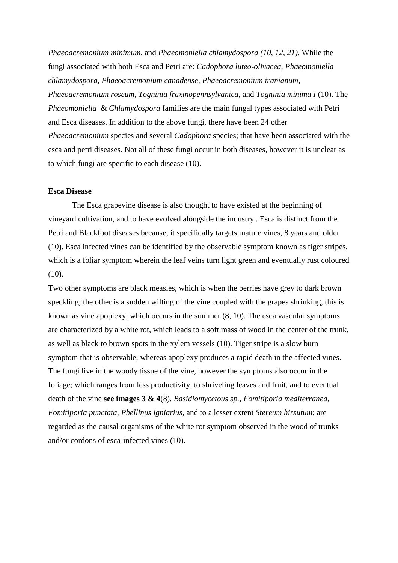*Phaeoacremonium minimum,* and *Phaeomoniella chlamydospora (10, 12, 21).* While the fungi associated with both Esca and Petri are: *Cadophora luteo-olivacea, Phaeomoniella chlamydospora, Phaeoacremonium canadense, Phaeoacremonium iranianum, Phaeoacremonium roseum, Togninia fraxinopennsylvanica,* and *Togninia minima I* (10). The *Phaeomoniella* & *Chlamydospora* families are the main fungal types associated with Petri and Esca diseases. In addition to the above fungi, there have been 24 other *Phaeoacremonium* species and several *Cadophora* species; that have been associated with the esca and petri diseases. Not all of these fungi occur in both diseases, however it is unclear as to which fungi are specific to each disease (10).

#### **Esca Disease**

The Esca grapevine disease is also thought to have existed at the beginning of vineyard cultivation, and to have evolved alongside the industry . Esca is distinct from the Petri and Blackfoot diseases because, it specifically targets mature vines, 8 years and older (10). Esca infected vines can be identified by the observable symptom known as tiger stripes, which is a foliar symptom wherein the leaf veins turn light green and eventually rust coloured (10).

Two other symptoms are black measles, which is when the berries have grey to dark brown speckling; the other is a sudden wilting of the vine coupled with the grapes shrinking, this is known as vine apoplexy, which occurs in the summer (8, 10). The esca vascular symptoms are characterized by a white rot, which leads to a soft mass of wood in the center of the trunk, as well as black to brown spots in the xylem vessels (10). Tiger stripe is a slow burn symptom that is observable, whereas apoplexy produces a rapid death in the affected vines. The fungi live in the woody tissue of the vine, however the symptoms also occur in the foliage; which ranges from less productivity, to shriveling leaves and fruit, and to eventual death of the vine **see images 3 & 4**(8). *Basidiomycetous sp.*, *Fomitiporia mediterranea*, *Fomitiporia punctata*, *Phellinus igniarius*, and to a lesser extent *Stereum hirsutum*; are regarded as the causal organisms of the white rot symptom observed in the wood of trunks and/or cordons of esca-infected vines (10).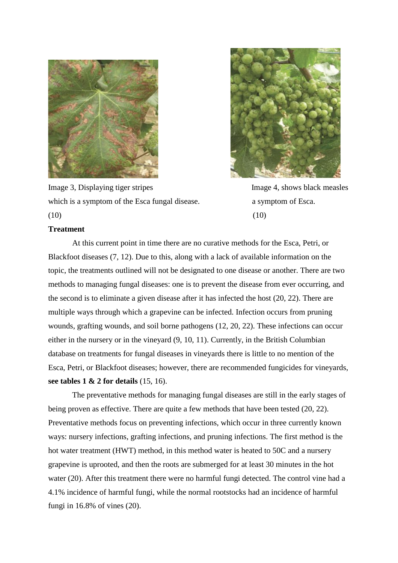

Image 3, Displaying tiger stripes Image 4, shows black measles which is a symptom of the Esca fungal disease. a symptom of Esca.  $(10)$  (10)



### **Treatment**

At this current point in time there are no curative methods for the Esca, Petri, or Blackfoot diseases (7, 12). Due to this, along with a lack of available information on the topic, the treatments outlined will not be designated to one disease or another. There are two methods to managing fungal diseases: one is to prevent the disease from ever occurring, and the second is to eliminate a given disease after it has infected the host (20, 22). There are multiple ways through which a grapevine can be infected. Infection occurs from pruning wounds, grafting wounds, and soil borne pathogens (12, 20, 22). These infections can occur either in the nursery or in the vineyard (9, 10, 11). Currently, in the British Columbian database on treatments for fungal diseases in vineyards there is little to no mention of the Esca, Petri, or Blackfoot diseases; however, there are recommended fungicides for vineyards, **see tables 1 & 2 for details** (15, 16).

The preventative methods for managing fungal diseases are still in the early stages of being proven as effective. There are quite a few methods that have been tested (20, 22). Preventative methods focus on preventing infections, which occur in three currently known ways: nursery infections, grafting infections, and pruning infections. The first method is the hot water treatment (HWT) method, in this method water is heated to 50C and a nursery grapevine is uprooted, and then the roots are submerged for at least 30 minutes in the hot water (20). After this treatment there were no harmful fungi detected. The control vine had a 4.1% incidence of harmful fungi, while the normal rootstocks had an incidence of harmful fungi in 16.8% of vines (20).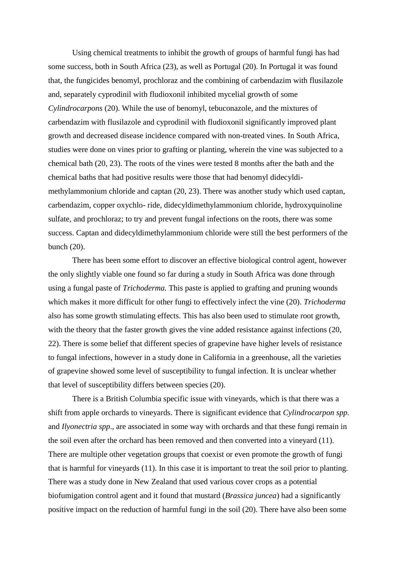Using chemical treatments to inhibit the growth of groups of harmful fungi has had some success, both in South Africa (23), as well as Portugal (20). In Portugal it was found that, the fungicides benomyl, prochloraz and the combining of carbendazim with flusilazole and, separately cyprodinil with fludioxonil inhibited mycelial growth of some *Cylindrocarpons* (20). While the use of benomyl, tebuconazole, and the mixtures of carbendazim with flusilazole and cyprodinil with fludioxonil significantly improved plant growth and decreased disease incidence compared with non-treated vines. In South Africa, studies were done on vines prior to grafting or planting, wherein the vine was subjected to a chemical bath (20, 23). The roots of the vines were tested 8 months after the bath and the chemical baths that had positive results were those that had benomyl didecyldimethylammonium chloride and captan (20, 23). There was another study which used captan, carbendazim, copper oxychlo- ride, didecyldimethylammonium chloride, hydroxyquinoline sulfate, and prochloraz; to try and prevent fungal infections on the roots, there was some success. Captan and didecyldimethylammonium chloride were still the best performers of the bunch (20).

There has been some effort to discover an effective biological control agent, however the only slightly viable one found so far during a study in South Africa was done through using a fungal paste of *Trichoderma.* This paste is applied to grafting and pruning wounds which makes it more difficult for other fungi to effectively infect the vine (20). *Trichoderma*  also has some growth stimulating effects. This has also been used to stimulate root growth, with the theory that the faster growth gives the vine added resistance against infections (20, 22). There is some belief that different species of grapevine have higher levels of resistance to fungal infections, however in a study done in California in a greenhouse, all the varieties of grapevine showed some level of susceptibility to fungal infection. It is unclear whether that level of susceptibility differs between species (20).

There is a British Columbia specific issue with vineyards, which is that there was a shift from apple orchards to vineyards. There is significant evidence that *Cylindrocarpon spp.*  and *Ilyonectria spp*., are associated in some way with orchards and that these fungi remain in the soil even after the orchard has been removed and then converted into a vineyard (11). There are multiple other vegetation groups that coexist or even promote the growth of fungi that is harmful for vineyards (11). In this case it is important to treat the soil prior to planting. There was a study done in New Zealand that used various cover crops as a potential biofumigation control agent and it found that mustard (*Brassica juncea*) had a significantly positive impact on the reduction of harmful fungi in the soil (20). There have also been some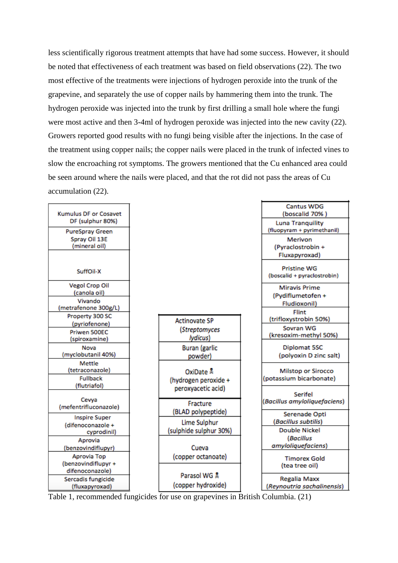less scientifically rigorous treatment attempts that have had some success. However, it should be noted that effectiveness of each treatment was based on field observations (22). The two most effective of the treatments were injections of hydrogen peroxide into the trunk of the grapevine, and separately the use of copper nails by hammering them into the trunk. The hydrogen peroxide was injected into the trunk by first drilling a small hole where the fungi were most active and then 3-4ml of hydrogen peroxide was injected into the new cavity (22). Growers reported good results with no fungi being visible after the injections. In the case of the treatment using copper nails; the copper nails were placed in the trunk of infected vines to slow the encroaching rot symptoms. The growers mentioned that the Cu enhanced area could be seen around where the nails were placed, and that the rot did not pass the areas of Cu accumulation (22).



Table 1, recommended fungicides for use on grapevines in British Columbia. (21)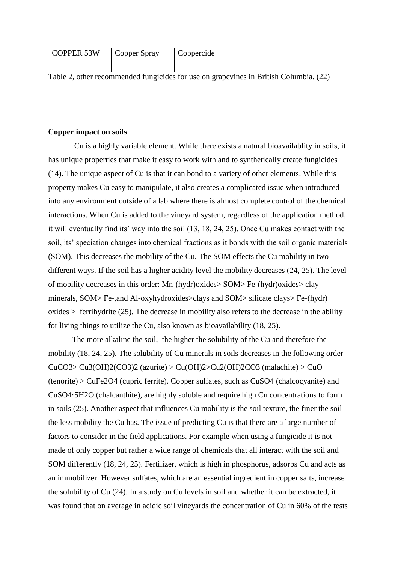| <b>COPPER 53W</b> | Copper Spray | Coppercide |
|-------------------|--------------|------------|
|                   |              |            |

Table 2, other recommended fungicides for use on grapevines in British Columbia. (22)

#### **Copper impact on soils**

Cu is a highly variable element. While there exists a natural bioavailablity in soils, it has unique properties that make it easy to work with and to synthetically create fungicides (14). The unique aspect of Cu is that it can bond to a variety of other elements. While this property makes Cu easy to manipulate, it also creates a complicated issue when introduced into any environment outside of a lab where there is almost complete control of the chemical interactions. When Cu is added to the vineyard system, regardless of the application method, it will eventually find its' way into the soil (13, 18, 24, 25). Once Cu makes contact with the soil, its' speciation changes into chemical fractions as it bonds with the soil organic materials (SOM). This decreases the mobility of the Cu. The SOM effects the Cu mobility in two different ways. If the soil has a higher acidity level the mobility decreases (24, 25). The level of mobility decreases in this order: Mn-(hydr)oxides> SOM> Fe-(hydr)oxides> clay minerals, SOM> Fe-,and Al-oxyhydroxides>clays and SOM> silicate clays> Fe-(hydr)  $oxides >$  ferrihydrite (25). The decrease in mobility also refers to the decrease in the ability for living things to utilize the Cu, also known as bioavailability (18, 25).

The more alkaline the soil, the higher the solubility of the Cu and therefore the mobility (18, 24, 25). The solubility of Cu minerals in soils decreases in the following order  $CuCO3 > Cu3(OH)2(CO3)2$  (azurite)  $> Cu(OH)2 > Cu2(OH)2CO3$  (malachite)  $> CuO$ (tenorite) > CuFe2O4 (cupric ferrite). Copper sulfates, such as CuSO4 (chalcocyanite) and CuSO4·5H2O (chalcanthite), are highly soluble and require high Cu concentrations to form in soils (25). Another aspect that influences Cu mobility is the soil texture, the finer the soil the less mobility the Cu has. The issue of predicting Cu is that there are a large number of factors to consider in the field applications. For example when using a fungicide it is not made of only copper but rather a wide range of chemicals that all interact with the soil and SOM differently (18, 24, 25). Fertilizer, which is high in phosphorus, adsorbs Cu and acts as an immobilizer. However sulfates, which are an essential ingredient in copper salts, increase the solubility of Cu (24). In a study on Cu levels in soil and whether it can be extracted, it was found that on average in acidic soil vineyards the concentration of Cu in 60% of the tests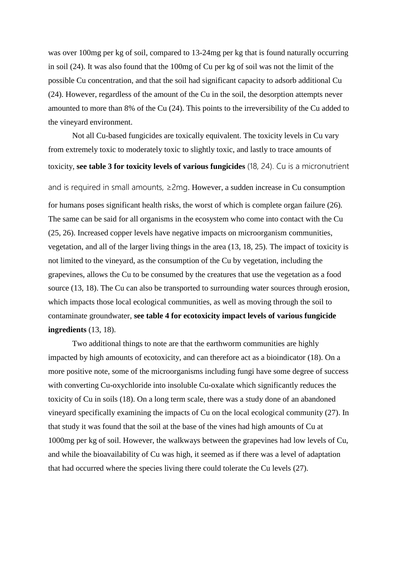was over 100mg per kg of soil, compared to 13-24mg per kg that is found naturally occurring in soil (24). It was also found that the 100mg of Cu per kg of soil was not the limit of the possible Cu concentration, and that the soil had significant capacity to adsorb additional Cu (24). However, regardless of the amount of the Cu in the soil, the desorption attempts never amounted to more than 8% of the Cu (24). This points to the irreversibility of the Cu added to the vineyard environment.

Not all Cu-based fungicides are toxically equivalent. The toxicity levels in Cu vary from extremely toxic to moderately toxic to slightly toxic, and lastly to trace amounts of toxicity, **see table 3 for toxicity levels of various fungicides** (18, 24). Cu is a micronutrient and is required in small amounts,  $\geq 2$ mg. However, a sudden increase in Cu consumption for humans poses significant health risks, the worst of which is complete organ failure (26). The same can be said for all organisms in the ecosystem who come into contact with the Cu (25, 26). Increased copper levels have negative impacts on microorganism communities, vegetation, and all of the larger living things in the area (13, 18, 25). The impact of toxicity is not limited to the vineyard, as the consumption of the Cu by vegetation, including the grapevines, allows the Cu to be consumed by the creatures that use the vegetation as a food source (13, 18). The Cu can also be transported to surrounding water sources through erosion, which impacts those local ecological communities, as well as moving through the soil to contaminate groundwater, **see table 4 for ecotoxicity impact levels of various fungicide ingredients** (13, 18).

Two additional things to note are that the earthworm communities are highly impacted by high amounts of ecotoxicity, and can therefore act as a bioindicator (18). On a more positive note, some of the microorganisms including fungi have some degree of success with converting Cu-oxychloride into insoluble Cu-oxalate which significantly reduces the toxicity of Cu in soils (18). On a long term scale, there was a study done of an abandoned vineyard specifically examining the impacts of Cu on the local ecological community (27). In that study it was found that the soil at the base of the vines had high amounts of Cu at 1000mg per kg of soil. However, the walkways between the grapevines had low levels of Cu, and while the bioavailability of Cu was high, it seemed as if there was a level of adaptation that had occurred where the species living there could tolerate the Cu levels (27).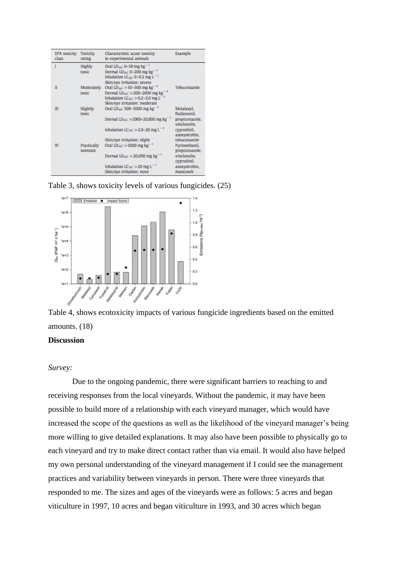| <b>EPA</b> toxicity<br>class | Toxicity<br>rating      | Characteristic acute toxicity<br>in experimental animals                                                                                                                                            | Example                         |
|------------------------------|-------------------------|-----------------------------------------------------------------------------------------------------------------------------------------------------------------------------------------------------|---------------------------------|
| ı                            | Highly<br>toxic         | Oral LD <sub>50</sub> : 0-50 mg kg <sup>-1</sup><br>Dermal LD <sub>50</sub> : 0-200 mg kg <sup>-1</sup><br>Inhalation LC <sub>50</sub> : 0-0.2 mg L <sup>-1</sup><br>Skin/eye irritation: severe    |                                 |
| Ш                            | Moderately<br>toxic     | Oral LD <sub>50</sub> : $>$ 50-500 mg kg <sup>-1</sup><br>Dermal $LD_{50}$ : > 200-2000 mg kg <sup>-1</sup><br>Inhalation $LC_{50}$ : > 0.2-2.0 mg L <sup>-1</sup><br>Skin/eye irritation: moderate | Tebuconazole                    |
| Ш                            | Slightly<br>toxic       | Oral LD <sub>50</sub> : 500-5000 mg kg <sup>-1</sup>                                                                                                                                                | Metalaxyl,<br>fludioxonil,      |
|                              |                         | Dermal LD <sub>50</sub> : > 2000-20,000 mg kg <sup>-1</sup>                                                                                                                                         | propiconazole,<br>vinclozolin,  |
|                              |                         | Inhalation LC <sub>50</sub> : $>$ 2.0-20 mg L <sup>-1</sup>                                                                                                                                         | cyprodinil,<br>azoxystrobin,    |
|                              |                         | Skin/eye irritation: slight                                                                                                                                                                         | tebuconazole                    |
| IV                           | Practically<br>nontoxic | Oral LD <sub>50</sub> : $>$ 5000 mg kg <sup>-1</sup>                                                                                                                                                | Pyrimethanil,<br>propiconazole, |
|                              |                         | Dermal $LD_{50}$ : > 20,000 mg kg <sup>-1</sup>                                                                                                                                                     | vinclozolin.<br>cyprodinil,     |
|                              |                         | Inhalation $LC_{50}$ : $>$ 20 mg L <sup>-1</sup>                                                                                                                                                    | azoxystrobin,                   |
|                              |                         | Skin/eye irritation: none                                                                                                                                                                           | mancozeb                        |

Table 3, shows toxicity levels of various fungicides. (25)



Table 4, shows ecotoxicity impacts of various fungicide ingredients based on the emitted amounts. (18)

# **Discussion**

### *Survey:*

Due to the ongoing pandemic, there were significant barriers to reaching to and receiving responses from the local vineyards. Without the pandemic, it may have been possible to build more of a relationship with each vineyard manager, which would have increased the scope of the questions as well as the likelihood of the vineyard manager's being more willing to give detailed explanations. It may also have been possible to physically go to each vineyard and try to make direct contact rather than via email. It would also have helped my own personal understanding of the vineyard management if I could see the management practices and variability between vineyards in person. There were three vineyards that responded to me. The sizes and ages of the vineyards were as follows: 5 acres and began viticulture in 1997, 10 acres and began viticulture in 1993, and 30 acres which began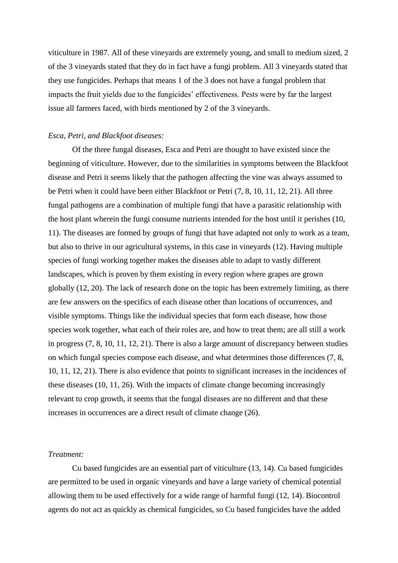viticulture in 1987. All of these vineyards are extremely young, and small to medium sized, 2 of the 3 vineyards stated that they do in fact have a fungi problem. All 3 vineyards stated that they use fungicides. Perhaps that means 1 of the 3 does not have a fungal problem that impacts the fruit yields due to the fungicides' effectiveness. Pests were by far the largest issue all farmers faced, with birds mentioned by 2 of the 3 vineyards.

#### *Esca, Petri, and Blackfoot diseases:*

Of the three fungal diseases, Esca and Petri are thought to have existed since the beginning of viticulture. However, due to the similarities in symptoms between the Blackfoot disease and Petri it seems likely that the pathogen affecting the vine was always assumed to be Petri when it could have been either Blackfoot or Petri (7, 8, 10, 11, 12, 21). All three fungal pathogens are a combination of multiple fungi that have a parasitic relationship with the host plant wherein the fungi consume nutrients intended for the host until it perishes (10, 11). The diseases are formed by groups of fungi that have adapted not only to work as a team, but also to thrive in our agricultural systems, in this case in vineyards (12). Having multiple species of fungi working together makes the diseases able to adapt to vastly different landscapes, which is proven by them existing in every region where grapes are grown globally (12, 20). The lack of research done on the topic has been extremely limiting, as there are few answers on the specifics of each disease other than locations of occurrences, and visible symptoms. Things like the individual species that form each disease, how those species work together, what each of their roles are, and how to treat them; are all still a work in progress (7, 8, 10, 11, 12, 21). There is also a large amount of discrepancy between studies on which fungal species compose each disease, and what determines those differences (7, 8, 10, 11, 12, 21). There is also evidence that points to significant increases in the incidences of these diseases (10, 11, 26). With the impacts of climate change becoming increasingly relevant to crop growth, it seems that the fungal diseases are no different and that these increases in occurrences are a direct result of climate change (26).

### *Treatment:*

Cu based fungicides are an essential part of viticulture (13, 14). Cu based fungicides are permitted to be used in organic vineyards and have a large variety of chemical potential allowing them to be used effectively for a wide range of harmful fungi (12, 14). Biocontrol agents do not act as quickly as chemical fungicides, so Cu based fungicides have the added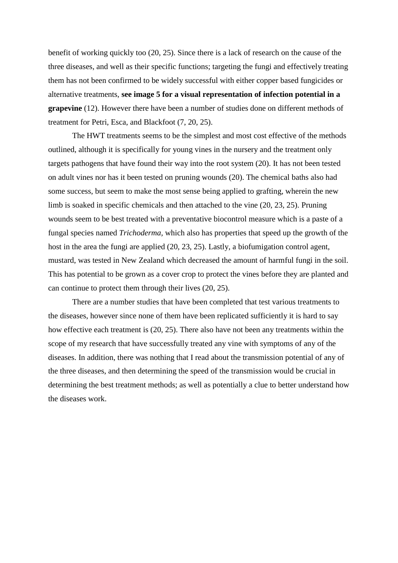benefit of working quickly too (20, 25). Since there is a lack of research on the cause of the three diseases, and well as their specific functions; targeting the fungi and effectively treating them has not been confirmed to be widely successful with either copper based fungicides or alternative treatments, **see image 5 for a visual representation of infection potential in a grapevine** (12). However there have been a number of studies done on different methods of treatment for Petri, Esca, and Blackfoot (7, 20, 25).

The HWT treatments seems to be the simplest and most cost effective of the methods outlined, although it is specifically for young vines in the nursery and the treatment only targets pathogens that have found their way into the root system (20). It has not been tested on adult vines nor has it been tested on pruning wounds (20). The chemical baths also had some success, but seem to make the most sense being applied to grafting, wherein the new limb is soaked in specific chemicals and then attached to the vine (20, 23, 25). Pruning wounds seem to be best treated with a preventative biocontrol measure which is a paste of a fungal species named *Trichoderma,* which also has properties that speed up the growth of the host in the area the fungi are applied (20, 23, 25). Lastly, a biofumigation control agent, mustard, was tested in New Zealand which decreased the amount of harmful fungi in the soil. This has potential to be grown as a cover crop to protect the vines before they are planted and can continue to protect them through their lives (20, 25).

There are a number studies that have been completed that test various treatments to the diseases, however since none of them have been replicated sufficiently it is hard to say how effective each treatment is (20, 25). There also have not been any treatments within the scope of my research that have successfully treated any vine with symptoms of any of the diseases. In addition, there was nothing that I read about the transmission potential of any of the three diseases, and then determining the speed of the transmission would be crucial in determining the best treatment methods; as well as potentially a clue to better understand how the diseases work.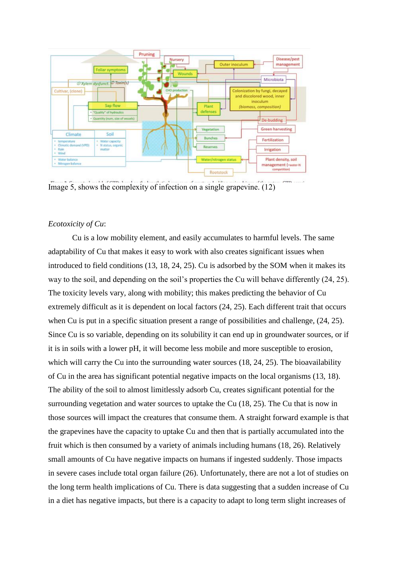

Image 5, shows the complexity of infection on a single grapevine. (12)

# *Ecotoxicity of Cu*:

Cu is a low mobility element, and easily accumulates to harmful levels. The same adaptability of Cu that makes it easy to work with also creates significant issues when introduced to field conditions (13, 18, 24, 25). Cu is adsorbed by the SOM when it makes its way to the soil, and depending on the soil's properties the Cu will behave differently (24, 25). The toxicity levels vary, along with mobility; this makes predicting the behavior of Cu extremely difficult as it is dependent on local factors (24, 25). Each different trait that occurs when Cu is put in a specific situation present a range of possibilities and challenge, (24, 25). Since Cu is so variable, depending on its solubility it can end up in groundwater sources, or if it is in soils with a lower pH, it will become less mobile and more susceptible to erosion, which will carry the Cu into the surrounding water sources (18, 24, 25). The bioavailability of Cu in the area has significant potential negative impacts on the local organisms (13, 18). The ability of the soil to almost limitlessly adsorb Cu, creates significant potential for the surrounding vegetation and water sources to uptake the Cu (18, 25). The Cu that is now in those sources will impact the creatures that consume them. A straight forward example is that the grapevines have the capacity to uptake Cu and then that is partially accumulated into the fruit which is then consumed by a variety of animals including humans (18, 26). Relatively small amounts of Cu have negative impacts on humans if ingested suddenly. Those impacts in severe cases include total organ failure (26). Unfortunately, there are not a lot of studies on the long term health implications of Cu. There is data suggesting that a sudden increase of Cu in a diet has negative impacts, but there is a capacity to adapt to long term slight increases of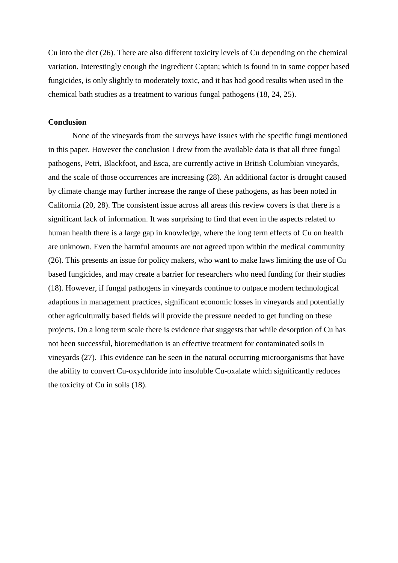Cu into the diet (26). There are also different toxicity levels of Cu depending on the chemical variation. Interestingly enough the ingredient Captan; which is found in in some copper based fungicides, is only slightly to moderately toxic, and it has had good results when used in the chemical bath studies as a treatment to various fungal pathogens (18, 24, 25).

### **Conclusion**

None of the vineyards from the surveys have issues with the specific fungi mentioned in this paper. However the conclusion I drew from the available data is that all three fungal pathogens, Petri, Blackfoot, and Esca, are currently active in British Columbian vineyards, and the scale of those occurrences are increasing (28). An additional factor is drought caused by climate change may further increase the range of these pathogens, as has been noted in California (20, 28). The consistent issue across all areas this review covers is that there is a significant lack of information. It was surprising to find that even in the aspects related to human health there is a large gap in knowledge, where the long term effects of Cu on health are unknown. Even the harmful amounts are not agreed upon within the medical community (26). This presents an issue for policy makers, who want to make laws limiting the use of Cu based fungicides, and may create a barrier for researchers who need funding for their studies (18). However, if fungal pathogens in vineyards continue to outpace modern technological adaptions in management practices, significant economic losses in vineyards and potentially other agriculturally based fields will provide the pressure needed to get funding on these projects. On a long term scale there is evidence that suggests that while desorption of Cu has not been successful, bioremediation is an effective treatment for contaminated soils in vineyards (27). This evidence can be seen in the natural occurring microorganisms that have the ability to convert Cu-oxychloride into insoluble Cu-oxalate which significantly reduces the toxicity of Cu in soils (18).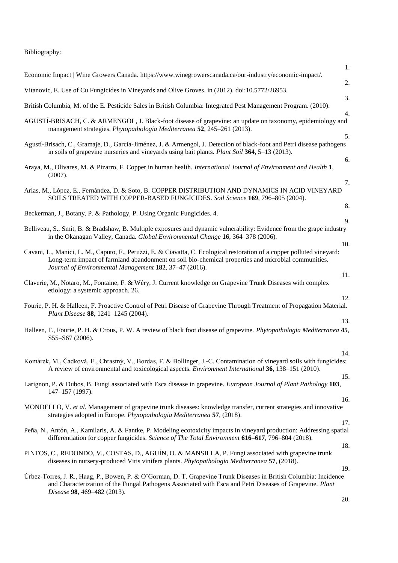# Bibliography:

|                                                                                                                                                                                                                                                                                          | 1.       |
|------------------------------------------------------------------------------------------------------------------------------------------------------------------------------------------------------------------------------------------------------------------------------------------|----------|
| Economic Impact   Wine Growers Canada. https://www.winegrowerscanada.ca/our-industry/economic-impact/.                                                                                                                                                                                   | 2.       |
| Vitanovic, E. Use of Cu Fungicides in Vineyards and Olive Groves. in (2012). doi:10.5772/26953.                                                                                                                                                                                          | 3.       |
| British Columbia, M. of the E. Pesticide Sales in British Columbia: Integrated Pest Management Program. (2010).                                                                                                                                                                          |          |
| AGUSTI-BRISACH, C. & ARMENGOL, J. Black-foot disease of grapevine: an update on taxonomy, epidemiology and<br>management strategies. Phytopathologia Mediterranea 52, 245-261 (2013).                                                                                                    | 4.       |
| Agustí-Brisach, C., Gramaje, D., García-Jiménez, J. & Armengol, J. Detection of black-foot and Petri disease pathogens<br>in soils of grapevine nurseries and vineyards using bait plants. Plant Soil 364, 5–13 (2013).                                                                  | 5.<br>6. |
| Araya, M., Olivares, M. & Pizarro, F. Copper in human health. International Journal of Environment and Health 1,<br>(2007).                                                                                                                                                              |          |
| Arias, M., López, E., Fernández, D. & Soto, B. COPPER DISTRIBUTION AND DYNAMICS IN ACID VINEYARD<br>SOILS TREATED WITH COPPER-BASED FUNGICIDES. Soil Science 169, 796-805 (2004).                                                                                                        | 7.       |
| Beckerman, J., Botany, P. & Pathology, P. Using Organic Fungicides. 4.                                                                                                                                                                                                                   | 8.       |
|                                                                                                                                                                                                                                                                                          | 9.       |
| Belliveau, S., Smit, B. & Bradshaw, B. Multiple exposures and dynamic vulnerability: Evidence from the grape industry<br>in the Okanagan Valley, Canada. Global Environmental Change 16, 364–378 (2006).                                                                                 | 10.      |
| Cavani, L., Manici, L. M., Caputo, F., Peruzzi, E. & Ciavatta, C. Ecological restoration of a copper polluted vineyard:<br>Long-term impact of farmland abandonment on soil bio-chemical properties and microbial communities.<br>Journal of Environmental Management 182, 37-47 (2016). |          |
| Claverie, M., Notaro, M., Fontaine, F. & Wéry, J. Current knowledge on Grapevine Trunk Diseases with complex<br>etiology: a systemic approach. 26.                                                                                                                                       | 11.      |
| Fourie, P. H. & Halleen, F. Proactive Control of Petri Disease of Grapevine Through Treatment of Propagation Material.<br>Plant Disease 88, 1241-1245 (2004).                                                                                                                            | 12.      |
|                                                                                                                                                                                                                                                                                          | 13.      |
| Halleen, F., Fourie, P. H. & Crous, P. W. A review of black foot disease of grapevine. Phytopathologia Mediterranea 45,<br>S55-S67 (2006).                                                                                                                                               |          |
|                                                                                                                                                                                                                                                                                          | 14.      |
| Komárek, M., Čadková, E., Chrastný, V., Bordas, F. & Bollinger, J.-C. Contamination of vineyard soils with fungicides:<br>A review of environmental and toxicological aspects. <i>Environment International</i> 36, 138–151 (2010).                                                      |          |
| Larignon, P. & Dubos, B. Fungi associated with Esca disease in grapevine. European Journal of Plant Pathology 103,<br>147-157 (1997).                                                                                                                                                    | 15.      |
|                                                                                                                                                                                                                                                                                          | 16.      |
| MONDELLO, V. et al. Management of grapevine trunk diseases: knowledge transfer, current strategies and innovative<br>strategies adopted in Europe. Phytopathologia Mediterranea 57, (2018).                                                                                              |          |
|                                                                                                                                                                                                                                                                                          | 17.      |
| Peña, N., Antón, A., Kamilaris, A. & Fantke, P. Modeling ecotoxicity impacts in vineyard production: Addressing spatial<br>differentiation for copper fungicides. Science of The Total Environment 616–617, 796–804 (2018).                                                              |          |
| PINTOS, C., REDONDO, V., COSTAS, D., AGUÍN, O. & MANSILLA, P. Fungi associated with grapevine trunk<br>diseases in nursery-produced Vitis vinifera plants. Phytopathologia Mediterranea 57, (2018).                                                                                      | 18.      |
| Úrbez-Torres, J. R., Haag, P., Bowen, P. & O'Gorman, D. T. Grapevine Trunk Diseases in British Columbia: Incidence<br>and Characterization of the Fungal Pathogens Associated with Esca and Petri Diseases of Grapevine. Plant<br>Disease 98, 469-482 (2013).                            | 19.      |
|                                                                                                                                                                                                                                                                                          | $\Delta$ |

20.